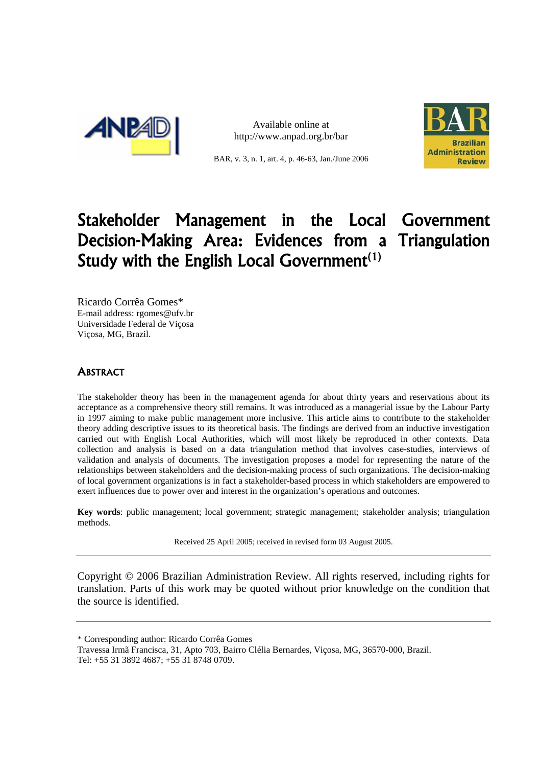

Available online at http://www.anpad.org.br/bar

BAR, v. 3, n. 1, art. 4, p. 46-63, Jan./June 2006



# Stakeholder Management in the Local Government Decision-Making Area: Evidences from a Triangulation Study with the English Local Government $(1)$

Ricardo Corrêa Gomes\* E-mail address: rgomes@ufv.br Universidade Federal de Viçosa Viçosa, MG, Brazil.

# **ABSTRACT**

The stakeholder theory has been in the management agenda for about thirty years and reservations about its acceptance as a comprehensive theory still remains. It was introduced as a managerial issue by the Labour Party in 1997 aiming to make public management more inclusive. This article aims to contribute to the stakeholder theory adding descriptive issues to its theoretical basis. The findings are derived from an inductive investigation carried out with English Local Authorities, which will most likely be reproduced in other contexts. Data collection and analysis is based on a data triangulation method that involves case-studies, interviews of validation and analysis of documents. The investigation proposes a model for representing the nature of the relationships between stakeholders and the decision-making process of such organizations. The decision-making of local government organizations is in fact a stakeholder-based process in which stakeholders are empowered to exert influences due to power over and interest in the organization's operations and outcomes.

**Key words**: public management; local government; strategic management; stakeholder analysis; triangulation methods.

Received 25 April 2005; received in revised form 03 August 2005.

Copyright © 2006 Brazilian Administration Review. All rights reserved, including rights for translation. Parts of this work may be quoted without prior knowledge on the condition that the source is identified.

<sup>\*</sup> Corresponding author: Ricardo Corrêa Gomes

Travessa Irmã Francisca, 31, Apto 703, Bairro Clélia Bernardes, Viçosa, MG, 36570-000, Brazil.

Tel: +55 31 3892 4687; +55 31 8748 0709.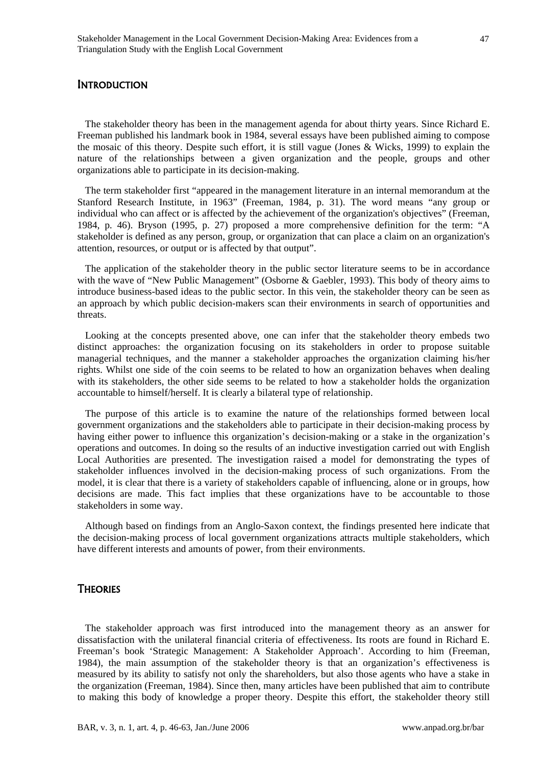#### **INTRODUCTION**

The stakeholder theory has been in the management agenda for about thirty years. Since Richard E. Freeman published his landmark book in 1984, several essays have been published aiming to compose the mosaic of this theory. Despite such effort, it is still vague (Jones  $\&$  Wicks, 1999) to explain the nature of the relationships between a given organization and the people, groups and other organizations able to participate in its decision-making.

The term stakeholder first "appeared in the management literature in an internal memorandum at the Stanford Research Institute, in 1963" (Freeman, 1984, p. 31). The word means "any group or individual who can affect or is affected by the achievement of the organization's objectives" (Freeman, 1984, p. 46). Bryson (1995, p. 27) proposed a more comprehensive definition for the term: "A stakeholder is defined as any person, group, or organization that can place a claim on an organization's attention, resources, or output or is affected by that output".

The application of the stakeholder theory in the public sector literature seems to be in accordance with the wave of "New Public Management" (Osborne & Gaebler, 1993). This body of theory aims to introduce business-based ideas to the public sector. In this vein, the stakeholder theory can be seen as an approach by which public decision-makers scan their environments in search of opportunities and threats.

Looking at the concepts presented above, one can infer that the stakeholder theory embeds two distinct approaches: the organization focusing on its stakeholders in order to propose suitable managerial techniques, and the manner a stakeholder approaches the organization claiming his/her rights. Whilst one side of the coin seems to be related to how an organization behaves when dealing with its stakeholders, the other side seems to be related to how a stakeholder holds the organization accountable to himself/herself. It is clearly a bilateral type of relationship.

The purpose of this article is to examine the nature of the relationships formed between local government organizations and the stakeholders able to participate in their decision-making process by having either power to influence this organization's decision-making or a stake in the organization's operations and outcomes. In doing so the results of an inductive investigation carried out with English Local Authorities are presented. The investigation raised a model for demonstrating the types of stakeholder influences involved in the decision-making process of such organizations. From the model, it is clear that there is a variety of stakeholders capable of influencing, alone or in groups, how decisions are made. This fact implies that these organizations have to be accountable to those stakeholders in some way.

Although based on findings from an Anglo-Saxon context, the findings presented here indicate that the decision-making process of local government organizations attracts multiple stakeholders, which have different interests and amounts of power, from their environments.

## **THEORIES**

The stakeholder approach was first introduced into the management theory as an answer for dissatisfaction with the unilateral financial criteria of effectiveness. Its roots are found in Richard E. Freeman's book 'Strategic Management: A Stakeholder Approach'. According to him (Freeman, 1984), the main assumption of the stakeholder theory is that an organization's effectiveness is measured by its ability to satisfy not only the shareholders, but also those agents who have a stake in the organization (Freeman, 1984). Since then, many articles have been published that aim to contribute to making this body of knowledge a proper theory. Despite this effort, the stakeholder theory still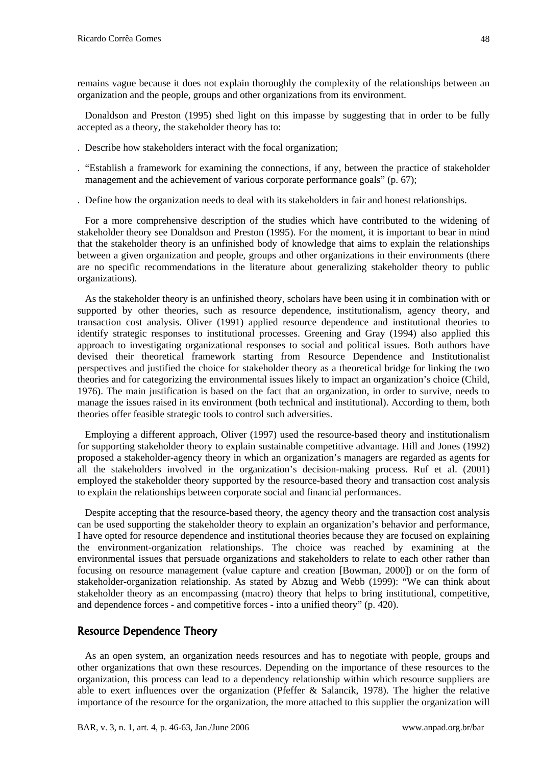remains vague because it does not explain thoroughly the complexity of the relationships between an organization and the people, groups and other organizations from its environment.

Donaldson and Preston (1995) shed light on this impasse by suggesting that in order to be fully accepted as a theory, the stakeholder theory has to:

- . Describe how stakeholders interact with the focal organization;
- . "Establish a framework for examining the connections, if any, between the practice of stakeholder management and the achievement of various corporate performance goals" (p. 67);
- . Define how the organization needs to deal with its stakeholders in fair and honest relationships.

For a more comprehensive description of the studies which have contributed to the widening of stakeholder theory see Donaldson and Preston (1995). For the moment, it is important to bear in mind that the stakeholder theory is an unfinished body of knowledge that aims to explain the relationships between a given organization and people, groups and other organizations in their environments (there are no specific recommendations in the literature about generalizing stakeholder theory to public organizations).

As the stakeholder theory is an unfinished theory, scholars have been using it in combination with or supported by other theories, such as resource dependence, institutionalism, agency theory, and transaction cost analysis. Oliver (1991) applied resource dependence and institutional theories to identify strategic responses to institutional processes. Greening and Gray (1994) also applied this approach to investigating organizational responses to social and political issues. Both authors have devised their theoretical framework starting from Resource Dependence and Institutionalist perspectives and justified the choice for stakeholder theory as a theoretical bridge for linking the two theories and for categorizing the environmental issues likely to impact an organization's choice (Child, 1976). The main justification is based on the fact that an organization, in order to survive, needs to manage the issues raised in its environment (both technical and institutional). According to them, both theories offer feasible strategic tools to control such adversities.

Employing a different approach, Oliver (1997) used the resource-based theory and institutionalism for supporting stakeholder theory to explain sustainable competitive advantage. Hill and Jones (1992) proposed a stakeholder-agency theory in which an organization's managers are regarded as agents for all the stakeholders involved in the organization's decision-making process. Ruf et al. (2001) employed the stakeholder theory supported by the resource-based theory and transaction cost analysis to explain the relationships between corporate social and financial performances.

Despite accepting that the resource-based theory, the agency theory and the transaction cost analysis can be used supporting the stakeholder theory to explain an organization's behavior and performance, I have opted for resource dependence and institutional theories because they are focused on explaining the environment-organization relationships. The choice was reached by examining at the environmental issues that persuade organizations and stakeholders to relate to each other rather than focusing on resource management (value capture and creation [Bowman, 2000]) or on the form of stakeholder-organization relationship. As stated by Abzug and Webb (1999): "We can think about stakeholder theory as an encompassing (macro) theory that helps to bring institutional, competitive, and dependence forces - and competitive forces - into a unified theory" (p. 420).

## Resource Dependence Theory

As an open system, an organization needs resources and has to negotiate with people, groups and other organizations that own these resources. Depending on the importance of these resources to the organization, this process can lead to a dependency relationship within which resource suppliers are able to exert influences over the organization (Pfeffer  $\&$  Salancik, 1978). The higher the relative importance of the resource for the organization, the more attached to this supplier the organization will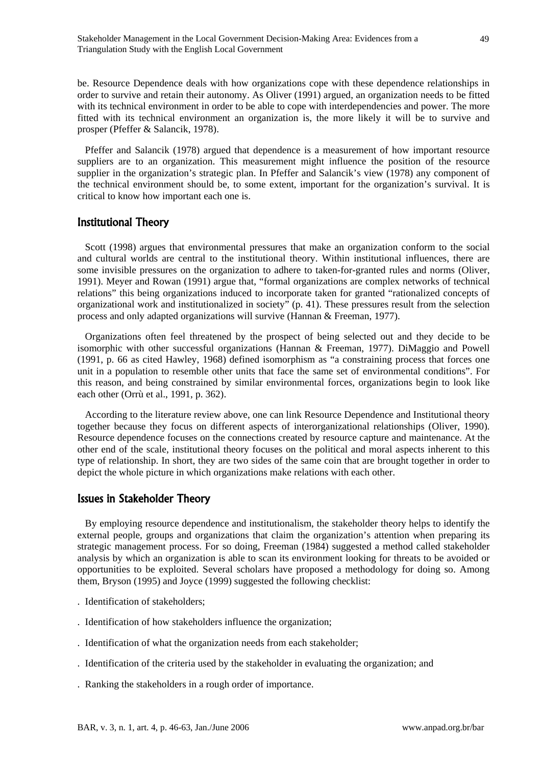be. Resource Dependence deals with how organizations cope with these dependence relationships in order to survive and retain their autonomy. As Oliver (1991) argued, an organization needs to be fitted with its technical environment in order to be able to cope with interdependencies and power. The more fitted with its technical environment an organization is, the more likely it will be to survive and prosper (Pfeffer & Salancik, 1978).

Pfeffer and Salancik (1978) argued that dependence is a measurement of how important resource suppliers are to an organization. This measurement might influence the position of the resource supplier in the organization's strategic plan. In Pfeffer and Salancik's view (1978) any component of the technical environment should be, to some extent, important for the organization's survival. It is critical to know how important each one is.

## Institutional Theory

Scott (1998) argues that environmental pressures that make an organization conform to the social and cultural worlds are central to the institutional theory. Within institutional influences, there are some invisible pressures on the organization to adhere to taken-for-granted rules and norms (Oliver, 1991). Meyer and Rowan (1991) argue that, "formal organizations are complex networks of technical relations" this being organizations induced to incorporate taken for granted "rationalized concepts of organizational work and institutionalized in society" (p. 41). These pressures result from the selection process and only adapted organizations will survive (Hannan & Freeman, 1977).

Organizations often feel threatened by the prospect of being selected out and they decide to be isomorphic with other successful organizations (Hannan & Freeman, 1977). DiMaggio and Powell (1991, p. 66 as cited Hawley, 1968) defined isomorphism as "a constraining process that forces one unit in a population to resemble other units that face the same set of environmental conditions". For this reason, and being constrained by similar environmental forces, organizations begin to look like each other (Orrù et al., 1991, p. 362).

According to the literature review above, one can link Resource Dependence and Institutional theory together because they focus on different aspects of interorganizational relationships (Oliver, 1990). Resource dependence focuses on the connections created by resource capture and maintenance. At the other end of the scale, institutional theory focuses on the political and moral aspects inherent to this type of relationship. In short, they are two sides of the same coin that are brought together in order to depict the whole picture in which organizations make relations with each other.

## Issues in Stakeholder Theory

By employing resource dependence and institutionalism, the stakeholder theory helps to identify the external people, groups and organizations that claim the organization's attention when preparing its strategic management process. For so doing, Freeman (1984) suggested a method called stakeholder analysis by which an organization is able to scan its environment looking for threats to be avoided or opportunities to be exploited. Several scholars have proposed a methodology for doing so. Among them, Bryson (1995) and Joyce (1999) suggested the following checklist:

- . Identification of stakeholders;
- . Identification of how stakeholders influence the organization;
- . Identification of what the organization needs from each stakeholder;
- . Identification of the criteria used by the stakeholder in evaluating the organization; and
- . Ranking the stakeholders in a rough order of importance.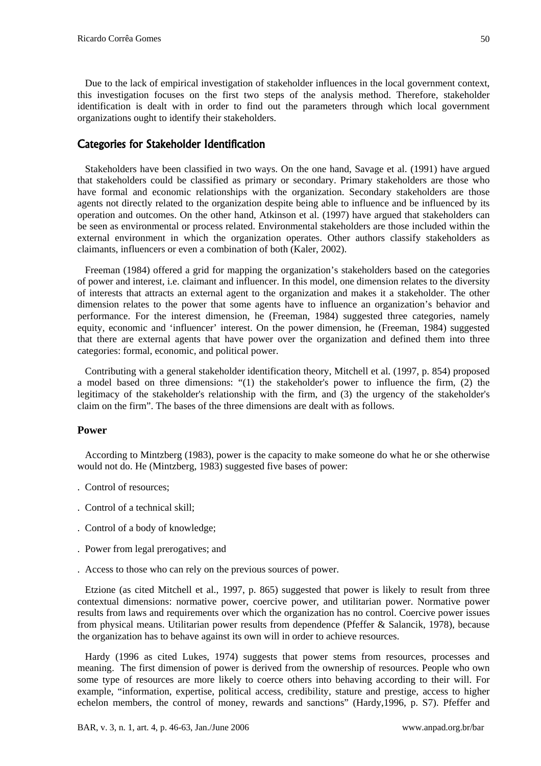Due to the lack of empirical investigation of stakeholder influences in the local government context, this investigation focuses on the first two steps of the analysis method. Therefore, stakeholder identification is dealt with in order to find out the parameters through which local government organizations ought to identify their stakeholders.

# Categories for Stakeholder Identification

Stakeholders have been classified in two ways. On the one hand, Savage et al. (1991) have argued that stakeholders could be classified as primary or secondary. Primary stakeholders are those who have formal and economic relationships with the organization. Secondary stakeholders are those agents not directly related to the organization despite being able to influence and be influenced by its operation and outcomes. On the other hand, Atkinson et al. (1997) have argued that stakeholders can be seen as environmental or process related. Environmental stakeholders are those included within the external environment in which the organization operates. Other authors classify stakeholders as claimants, influencers or even a combination of both (Kaler, 2002).

Freeman (1984) offered a grid for mapping the organization's stakeholders based on the categories of power and interest, i.e. claimant and influencer. In this model, one dimension relates to the diversity of interests that attracts an external agent to the organization and makes it a stakeholder. The other dimension relates to the power that some agents have to influence an organization's behavior and performance. For the interest dimension, he (Freeman, 1984) suggested three categories, namely equity, economic and 'influencer' interest. On the power dimension, he (Freeman, 1984) suggested that there are external agents that have power over the organization and defined them into three categories: formal, economic, and political power.

Contributing with a general stakeholder identification theory, Mitchell et al. (1997, p. 854) proposed a model based on three dimensions: "(1) the stakeholder's power to influence the firm, (2) the legitimacy of the stakeholder's relationship with the firm, and (3) the urgency of the stakeholder's claim on the firm". The bases of the three dimensions are dealt with as follows.

#### **Power**

According to Mintzberg (1983), power is the capacity to make someone do what he or she otherwise would not do. He (Mintzberg, 1983) suggested five bases of power:

- . Control of resources;
- . Control of a technical skill;
- . Control of a body of knowledge;
- . Power from legal prerogatives; and
- . Access to those who can rely on the previous sources of power.

Etzione (as cited Mitchell et al., 1997, p. 865) suggested that power is likely to result from three contextual dimensions: normative power, coercive power, and utilitarian power. Normative power results from laws and requirements over which the organization has no control. Coercive power issues from physical means. Utilitarian power results from dependence (Pfeffer & Salancik, 1978), because the organization has to behave against its own will in order to achieve resources.

Hardy (1996 as cited Lukes, 1974) suggests that power stems from resources, processes and meaning. The first dimension of power is derived from the ownership of resources. People who own some type of resources are more likely to coerce others into behaving according to their will. For example, "information, expertise, political access, credibility, stature and prestige, access to higher echelon members, the control of money, rewards and sanctions" (Hardy,1996, p. S7). Pfeffer and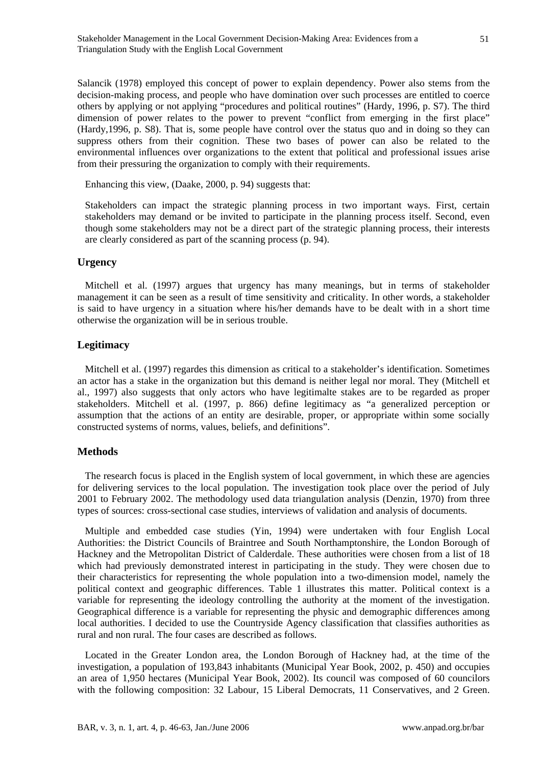Salancik (1978) employed this concept of power to explain dependency. Power also stems from the decision-making process, and people who have domination over such processes are entitled to coerce others by applying or not applying "procedures and political routines" (Hardy, 1996, p. S7). The third dimension of power relates to the power to prevent "conflict from emerging in the first place" (Hardy,1996, p. S8). That is, some people have control over the status quo and in doing so they can suppress others from their cognition. These two bases of power can also be related to the environmental influences over organizations to the extent that political and professional issues arise from their pressuring the organization to comply with their requirements.

Enhancing this view, (Daake, 2000, p. 94) suggests that:

Stakeholders can impact the strategic planning process in two important ways. First, certain stakeholders may demand or be invited to participate in the planning process itself. Second, even though some stakeholders may not be a direct part of the strategic planning process, their interests are clearly considered as part of the scanning process (p. 94).

#### **Urgency**

Mitchell et al. (1997) argues that urgency has many meanings, but in terms of stakeholder management it can be seen as a result of time sensitivity and criticality. In other words, a stakeholder is said to have urgency in a situation where his/her demands have to be dealt with in a short time otherwise the organization will be in serious trouble.

#### **Legitimacy**

Mitchell et al. (1997) regardes this dimension as critical to a stakeholder's identification. Sometimes an actor has a stake in the organization but this demand is neither legal nor moral. They (Mitchell et al., 1997) also suggests that only actors who have legitimalte stakes are to be regarded as proper stakeholders. Mitchell et al. (1997, p. 866) define legitimacy as "a generalized perception or assumption that the actions of an entity are desirable, proper, or appropriate within some socially constructed systems of norms, values, beliefs, and definitions".

#### **Methods**

The research focus is placed in the English system of local government, in which these are agencies for delivering services to the local population. The investigation took place over the period of July 2001 to February 2002. The methodology used data triangulation analysis (Denzin, 1970) from three types of sources: cross-sectional case studies, interviews of validation and analysis of documents.

Multiple and embedded case studies (Yin, 1994) were undertaken with four English Local Authorities: the District Councils of Braintree and South Northamptonshire, the London Borough of Hackney and the Metropolitan District of Calderdale. These authorities were chosen from a list of 18 which had previously demonstrated interest in participating in the study. They were chosen due to their characteristics for representing the whole population into a two-dimension model, namely the political context and geographic differences. Table 1 illustrates this matter. Political context is a variable for representing the ideology controlling the authority at the moment of the investigation. Geographical difference is a variable for representing the physic and demographic differences among local authorities. I decided to use the Countryside Agency classification that classifies authorities as rural and non rural. The four cases are described as follows.

Located in the Greater London area, the London Borough of Hackney had, at the time of the investigation, a population of 193,843 inhabitants (Municipal Year Book, 2002, p. 450) and occupies an area of 1,950 hectares (Municipal Year Book, 2002). Its council was composed of 60 councilors with the following composition: 32 Labour, 15 Liberal Democrats, 11 Conservatives, and 2 Green.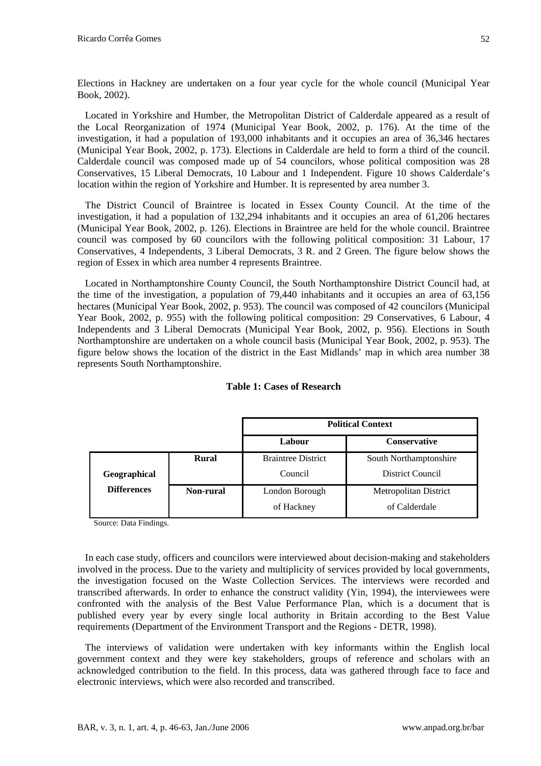Elections in Hackney are undertaken on a four year cycle for the whole council (Municipal Year Book, 2002).

Located in Yorkshire and Humber, the Metropolitan District of Calderdale appeared as a result of the Local Reorganization of 1974 (Municipal Year Book, 2002, p. 176). At the time of the investigation, it had a population of 193,000 inhabitants and it occupies an area of 36,346 hectares (Municipal Year Book, 2002, p. 173). Elections in Calderdale are held to form a third of the council. Calderdale council was composed made up of 54 councilors, whose political composition was 28 Conservatives, 15 Liberal Democrats, 10 Labour and 1 Independent. Figure 10 shows Calderdale's location within the region of Yorkshire and Humber. It is represented by area number 3.

The District Council of Braintree is located in Essex County Council. At the time of the investigation, it had a population of 132,294 inhabitants and it occupies an area of 61,206 hectares (Municipal Year Book, 2002, p. 126). Elections in Braintree are held for the whole council. Braintree council was composed by 60 councilors with the following political composition: 31 Labour, 17 Conservatives, 4 Independents, 3 Liberal Democrats, 3 R. and 2 Green. The figure below shows the region of Essex in which area number 4 represents Braintree.

Located in Northamptonshire County Council, the South Northamptonshire District Council had, at the time of the investigation, a population of 79,440 inhabitants and it occupies an area of 63,156 hectares (Municipal Year Book, 2002, p. 953). The council was composed of 42 councilors (Municipal Year Book, 2002, p. 955) with the following political composition: 29 Conservatives, 6 Labour, 4 Independents and 3 Liberal Democrats (Municipal Year Book, 2002, p. 956). Elections in South Northamptonshire are undertaken on a whole council basis (Municipal Year Book, 2002, p. 953). The figure below shows the location of the district in the East Midlands' map in which area number 38 represents South Northamptonshire.

|                    |              | <b>Political Context</b>  |                        |  |
|--------------------|--------------|---------------------------|------------------------|--|
|                    |              | Labour                    | <b>Conservative</b>    |  |
|                    | <b>Rural</b> | <b>Braintree District</b> | South Northamptonshire |  |
| Geographical       |              | Council                   | District Council       |  |
| <b>Differences</b> | Non-rural    | London Borough            | Metropolitan District  |  |
|                    |              | of Hackney                | of Calderdale          |  |

#### **Table 1: Cases of Research**

Source: Data Findings.

In each case study, officers and councilors were interviewed about decision-making and stakeholders involved in the process. Due to the variety and multiplicity of services provided by local governments, the investigation focused on the Waste Collection Services. The interviews were recorded and transcribed afterwards. In order to enhance the construct validity (Yin, 1994), the interviewees were confronted with the analysis of the Best Value Performance Plan, which is a document that is published every year by every single local authority in Britain according to the Best Value requirements (Department of the Environment Transport and the Regions - DETR, 1998).

The interviews of validation were undertaken with key informants within the English local government context and they were key stakeholders, groups of reference and scholars with an acknowledged contribution to the field. In this process, data was gathered through face to face and electronic interviews, which were also recorded and transcribed.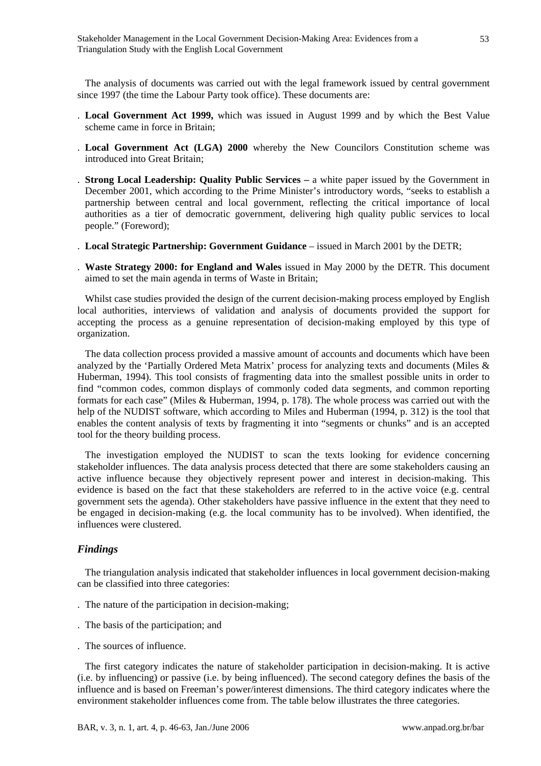The analysis of documents was carried out with the legal framework issued by central government since 1997 (the time the Labour Party took office). These documents are:

- . **Local Government Act 1999,** which was issued in August 1999 and by which the Best Value scheme came in force in Britain;
- . **Local Government Act (LGA) 2000** whereby the New Councilors Constitution scheme was introduced into Great Britain;
- . **Strong Local Leadership: Quality Public Services –** a white paper issued by the Government in December 2001, which according to the Prime Minister's introductory words, "seeks to establish a partnership between central and local government, reflecting the critical importance of local authorities as a tier of democratic government, delivering high quality public services to local people." (Foreword);
- . **Local Strategic Partnership: Government Guidance** issued in March 2001 by the DETR;
- . **Waste Strategy 2000: for England and Wales** issued in May 2000 by the DETR. This document aimed to set the main agenda in terms of Waste in Britain;

Whilst case studies provided the design of the current decision-making process employed by English local authorities, interviews of validation and analysis of documents provided the support for accepting the process as a genuine representation of decision-making employed by this type of organization.

The data collection process provided a massive amount of accounts and documents which have been analyzed by the 'Partially Ordered Meta Matrix' process for analyzing texts and documents (Miles & Huberman, 1994). This tool consists of fragmenting data into the smallest possible units in order to find "common codes, common displays of commonly coded data segments, and common reporting formats for each case" (Miles & Huberman, 1994, p. 178). The whole process was carried out with the help of the NUDIST software, which according to Miles and Huberman (1994, p. 312) is the tool that enables the content analysis of texts by fragmenting it into "segments or chunks" and is an accepted tool for the theory building process.

The investigation employed the NUDIST to scan the texts looking for evidence concerning stakeholder influences. The data analysis process detected that there are some stakeholders causing an active influence because they objectively represent power and interest in decision-making. This evidence is based on the fact that these stakeholders are referred to in the active voice (e.g. central government sets the agenda). Other stakeholders have passive influence in the extent that they need to be engaged in decision-making (e.g. the local community has to be involved). When identified, the influences were clustered.

## *Findings*

The triangulation analysis indicated that stakeholder influences in local government decision-making can be classified into three categories:

- . The nature of the participation in decision-making;
- . The basis of the participation; and
- . The sources of influence.

The first category indicates the nature of stakeholder participation in decision-making. It is active (i.e. by influencing) or passive (i.e. by being influenced). The second category defines the basis of the influence and is based on Freeman's power/interest dimensions. The third category indicates where the environment stakeholder influences come from. The table below illustrates the three categories.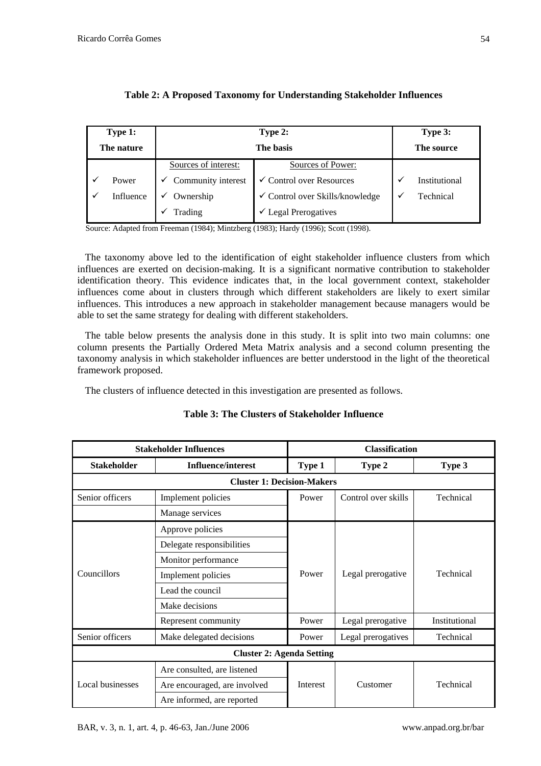| Type 1:<br>The nature |           | Type 2:<br>The basis            |                                            |  | Type 3:<br>The source |  |
|-----------------------|-----------|---------------------------------|--------------------------------------------|--|-----------------------|--|
|                       |           | Sources of interest:            | Sources of Power:                          |  |                       |  |
|                       | Power     | $\checkmark$ Community interest | $\checkmark$ Control over Resources        |  | Institutional         |  |
|                       | Influence | Ownership                       | $\checkmark$ Control over Skills/knowledge |  | Technical             |  |
|                       |           | Trading                         | $\checkmark$ Legal Prerogatives            |  |                       |  |

|  | Table 2: A Proposed Taxonomy for Understanding Stakeholder Influences |
|--|-----------------------------------------------------------------------|
|  |                                                                       |

Source: Adapted from Freeman (1984); Mintzberg (1983); Hardy (1996); Scott (1998).

The taxonomy above led to the identification of eight stakeholder influence clusters from which influences are exerted on decision-making. It is a significant normative contribution to stakeholder identification theory. This evidence indicates that, in the local government context, stakeholder influences come about in clusters through which different stakeholders are likely to exert similar influences. This introduces a new approach in stakeholder management because managers would be able to set the same strategy for dealing with different stakeholders.

The table below presents the analysis done in this study. It is split into two main columns: one column presents the Partially Ordered Meta Matrix analysis and a second column presenting the taxonomy analysis in which stakeholder influences are better understood in the light of the theoretical framework proposed.

The clusters of influence detected in this investigation are presented as follows.

| <b>Stakeholder Influences</b>    |                                   | <b>Classification</b> |                     |               |  |
|----------------------------------|-----------------------------------|-----------------------|---------------------|---------------|--|
| <b>Stakeholder</b>               | <b>Influence/interest</b>         | Type 1                | Type 2              | Type 3        |  |
|                                  | <b>Cluster 1: Decision-Makers</b> |                       |                     |               |  |
| Senior officers                  | Implement policies                | Power                 | Control over skills | Technical     |  |
|                                  | Manage services                   |                       |                     |               |  |
|                                  | Approve policies                  |                       |                     |               |  |
|                                  | Delegate responsibilities         |                       |                     |               |  |
|                                  | Monitor performance               |                       |                     |               |  |
| Councillors                      | Implement policies                | Power                 | Legal prerogative   | Technical     |  |
|                                  | Lead the council                  |                       |                     |               |  |
|                                  | Make decisions                    |                       |                     |               |  |
|                                  | Represent community               | Power                 | Legal prerogative   | Institutional |  |
| Senior officers                  | Make delegated decisions          | Power                 | Legal prerogatives  | Technical     |  |
| <b>Cluster 2: Agenda Setting</b> |                                   |                       |                     |               |  |
|                                  | Are consulted, are listened       |                       |                     |               |  |
| Local businesses                 | Are encouraged, are involved      | <b>Interest</b>       | Customer            | Technical     |  |
|                                  | Are informed, are reported        |                       |                     |               |  |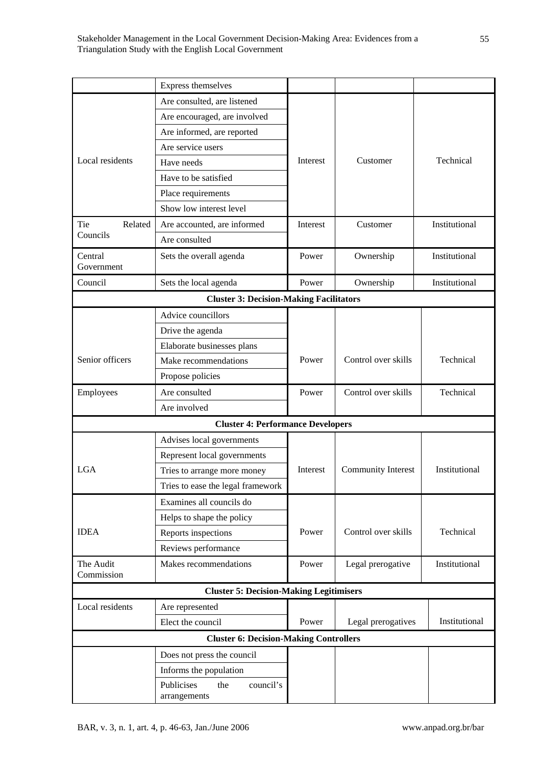|                                                | Express themselves                             |          |                     |               |  |
|------------------------------------------------|------------------------------------------------|----------|---------------------|---------------|--|
|                                                | Are consulted, are listened                    |          | Customer            | Technical     |  |
|                                                | Are encouraged, are involved                   |          |                     |               |  |
|                                                | Are informed, are reported                     |          |                     |               |  |
|                                                | Are service users                              |          |                     |               |  |
| Local residents                                | Have needs                                     | Interest |                     |               |  |
|                                                | Have to be satisfied                           |          |                     |               |  |
|                                                | Place requirements                             |          |                     |               |  |
|                                                | Show low interest level                        |          |                     |               |  |
| Related<br>Tie                                 | Are accounted, are informed                    | Interest | Customer            | Institutional |  |
| Councils                                       | Are consulted                                  |          |                     |               |  |
| Central<br>Government                          | Sets the overall agenda                        | Power    | Ownership           | Institutional |  |
| Council                                        | Sets the local agenda                          | Power    | Ownership           | Institutional |  |
| <b>Cluster 3: Decision-Making Facilitators</b> |                                                |          |                     |               |  |
|                                                | Advice councillors                             |          |                     |               |  |
|                                                | Drive the agenda                               |          | Control over skills |               |  |
|                                                | Elaborate businesses plans                     |          |                     |               |  |
| Senior officers                                | Make recommendations                           | Power    |                     | Technical     |  |
|                                                | Propose policies                               |          |                     |               |  |
| Employees                                      | Are consulted                                  | Power    | Control over skills | Technical     |  |
|                                                | Are involved                                   |          |                     |               |  |
|                                                | <b>Cluster 4: Performance Developers</b>       |          |                     |               |  |
|                                                | Advises local governments                      |          |                     |               |  |
|                                                | Represent local governments                    |          | Community Interest  |               |  |
| <b>LGA</b>                                     | Tries to arrange more money                    | Interest |                     | Institutional |  |
|                                                | Tries to ease the legal framework              |          |                     |               |  |
|                                                | Examines all councils do                       |          |                     |               |  |
|                                                | Helps to shape the policy                      |          |                     |               |  |
| <b>IDEA</b>                                    | Reports inspections                            | Power    | Control over skills | Technical     |  |
|                                                | Reviews performance                            |          |                     |               |  |
| The Audit<br>Commission                        | Makes recommendations                          | Power    | Legal prerogative   | Institutional |  |
| <b>Cluster 5: Decision-Making Legitimisers</b> |                                                |          |                     |               |  |
| Local residents                                | Are represented                                |          |                     |               |  |
|                                                | Elect the council                              | Power    | Legal prerogatives  | Institutional |  |
| <b>Cluster 6: Decision-Making Controllers</b>  |                                                |          |                     |               |  |
|                                                | Does not press the council                     |          |                     |               |  |
|                                                | Informs the population                         |          |                     |               |  |
|                                                | Publicises<br>the<br>council's<br>arrangements |          |                     |               |  |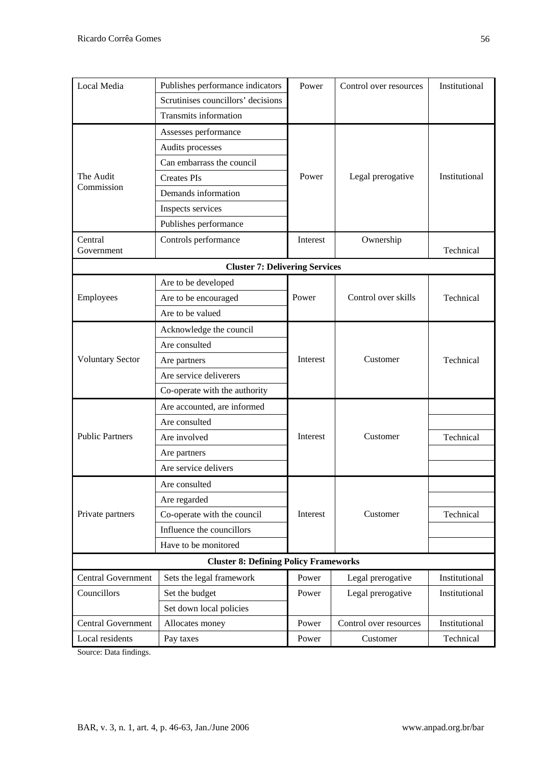| Local Media                                  | Publishes performance indicators      | Power    | Control over resources | Institutional |  |
|----------------------------------------------|---------------------------------------|----------|------------------------|---------------|--|
| Scrutinises councillors' decisions           |                                       |          |                        |               |  |
|                                              | <b>Transmits</b> information          |          |                        |               |  |
|                                              | Assesses performance                  |          |                        |               |  |
|                                              | Audits processes                      |          | Legal prerogative      |               |  |
|                                              | Can embarrass the council             |          |                        |               |  |
| The Audit                                    | <b>Creates PIs</b>                    | Power    |                        | Institutional |  |
| Commission                                   | Demands information                   |          |                        |               |  |
|                                              | Inspects services                     |          |                        |               |  |
|                                              | Publishes performance                 |          |                        |               |  |
| Central<br>Government                        | Controls performance                  | Interest | Ownership              | Technical     |  |
|                                              | <b>Cluster 7: Delivering Services</b> |          |                        |               |  |
|                                              | Are to be developed                   |          |                        |               |  |
| Employees                                    | Are to be encouraged                  | Power    | Control over skills    | Technical     |  |
|                                              | Are to be valued                      |          |                        |               |  |
|                                              | Acknowledge the council               |          |                        |               |  |
|                                              | Are consulted                         |          | Customer               |               |  |
| <b>Voluntary Sector</b>                      | Are partners                          | Interest |                        | Technical     |  |
|                                              | Are service deliverers                |          |                        |               |  |
|                                              | Co-operate with the authority         |          |                        |               |  |
|                                              | Are accounted, are informed           |          |                        |               |  |
|                                              | Are consulted                         |          | Customer               |               |  |
| <b>Public Partners</b>                       | Are involved                          | Interest |                        | Technical     |  |
|                                              | Are partners                          |          |                        |               |  |
|                                              | Are service delivers                  |          |                        |               |  |
|                                              | Are consulted                         |          |                        |               |  |
|                                              | Are regarded                          |          | Customer               |               |  |
| Private partners                             | Co-operate with the council           | Interest |                        | Technical     |  |
|                                              | Influence the councillors             |          |                        |               |  |
|                                              | Have to be monitored                  |          |                        |               |  |
| <b>Cluster 8: Defining Policy Frameworks</b> |                                       |          |                        |               |  |
| <b>Central Government</b>                    | Sets the legal framework              | Power    | Legal prerogative      | Institutional |  |
| Councillors                                  | Set the budget                        | Power    | Legal prerogative      | Institutional |  |
|                                              | Set down local policies               |          |                        |               |  |
| <b>Central Government</b>                    | Allocates money                       | Power    | Control over resources | Institutional |  |
| Local residents                              | Pay taxes                             | Power    | Customer               | Technical     |  |

Source: Data findings.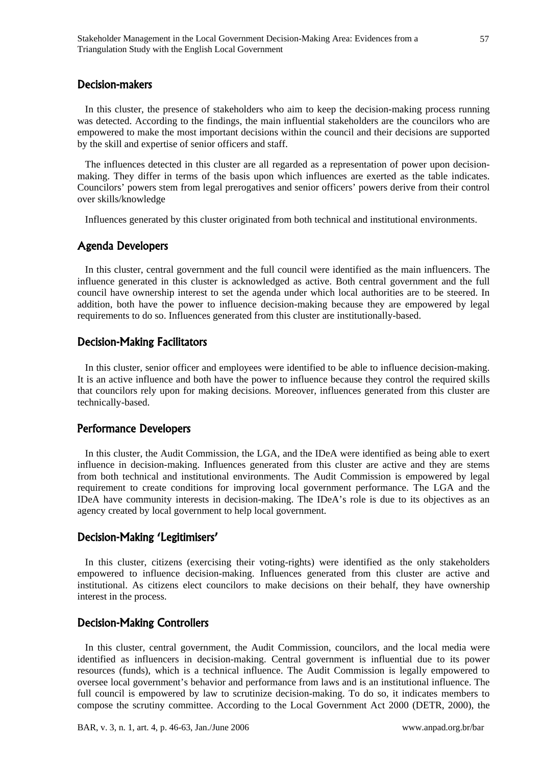## Decision-makers

In this cluster, the presence of stakeholders who aim to keep the decision-making process running was detected. According to the findings, the main influential stakeholders are the councilors who are empowered to make the most important decisions within the council and their decisions are supported by the skill and expertise of senior officers and staff.

The influences detected in this cluster are all regarded as a representation of power upon decisionmaking. They differ in terms of the basis upon which influences are exerted as the table indicates. Councilors' powers stem from legal prerogatives and senior officers' powers derive from their control over skills/knowledge

Influences generated by this cluster originated from both technical and institutional environments.

# Agenda Developers

In this cluster, central government and the full council were identified as the main influencers. The influence generated in this cluster is acknowledged as active. Both central government and the full council have ownership interest to set the agenda under which local authorities are to be steered. In addition, both have the power to influence decision-making because they are empowered by legal requirements to do so. Influences generated from this cluster are institutionally-based.

# Decision-Making Facilitators

In this cluster, senior officer and employees were identified to be able to influence decision-making. It is an active influence and both have the power to influence because they control the required skills that councilors rely upon for making decisions. Moreover, influences generated from this cluster are technically-based.

# Performance Developers

In this cluster, the Audit Commission, the LGA, and the IDeA were identified as being able to exert influence in decision-making. Influences generated from this cluster are active and they are stems from both technical and institutional environments. The Audit Commission is empowered by legal requirement to create conditions for improving local government performance. The LGA and the IDeA have community interests in decision-making. The IDeA's role is due to its objectives as an agency created by local government to help local government.

# Decision-Making 'Legitimisers'

In this cluster, citizens (exercising their voting-rights) were identified as the only stakeholders empowered to influence decision-making. Influences generated from this cluster are active and institutional. As citizens elect councilors to make decisions on their behalf, they have ownership interest in the process.

# Decision-Making Controllers

In this cluster, central government, the Audit Commission, councilors, and the local media were identified as influencers in decision-making. Central government is influential due to its power resources (funds), which is a technical influence. The Audit Commission is legally empowered to oversee local government's behavior and performance from laws and is an institutional influence. The full council is empowered by law to scrutinize decision-making. To do so, it indicates members to compose the scrutiny committee. According to the Local Government Act 2000 (DETR, 2000), the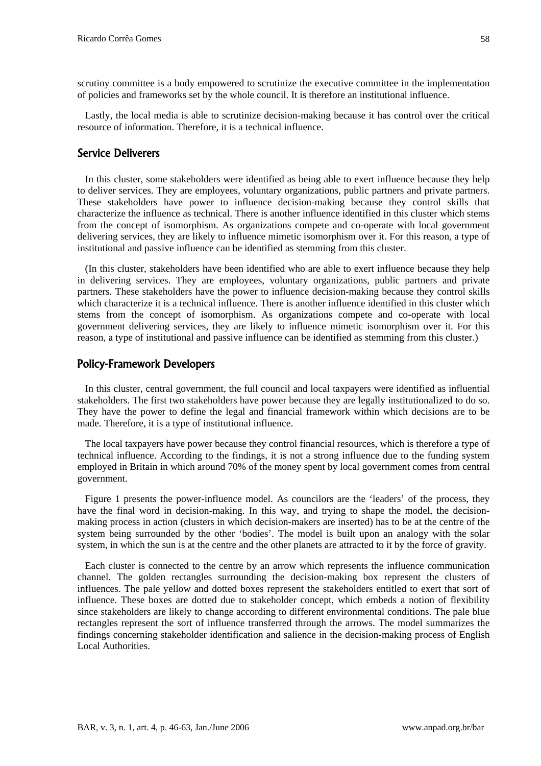scrutiny committee is a body empowered to scrutinize the executive committee in the implementation of policies and frameworks set by the whole council. It is therefore an institutional influence.

Lastly, the local media is able to scrutinize decision-making because it has control over the critical resource of information. Therefore, it is a technical influence.

## Service Deliverers

In this cluster, some stakeholders were identified as being able to exert influence because they help to deliver services. They are employees, voluntary organizations, public partners and private partners. These stakeholders have power to influence decision-making because they control skills that characterize the influence as technical. There is another influence identified in this cluster which stems from the concept of isomorphism. As organizations compete and co-operate with local government delivering services, they are likely to influence mimetic isomorphism over it. For this reason, a type of institutional and passive influence can be identified as stemming from this cluster.

(In this cluster, stakeholders have been identified who are able to exert influence because they help in delivering services. They are employees, voluntary organizations, public partners and private partners. These stakeholders have the power to influence decision-making because they control skills which characterize it is a technical influence. There is another influence identified in this cluster which stems from the concept of isomorphism. As organizations compete and co-operate with local government delivering services, they are likely to influence mimetic isomorphism over it. For this reason, a type of institutional and passive influence can be identified as stemming from this cluster.)

## Policy-Framework Developers

In this cluster, central government, the full council and local taxpayers were identified as influential stakeholders. The first two stakeholders have power because they are legally institutionalized to do so. They have the power to define the legal and financial framework within which decisions are to be made. Therefore, it is a type of institutional influence.

The local taxpayers have power because they control financial resources, which is therefore a type of technical influence. According to the findings, it is not a strong influence due to the funding system employed in Britain in which around 70% of the money spent by local government comes from central government.

Figure 1 presents the power-influence model. As councilors are the 'leaders' of the process, they have the final word in decision-making. In this way, and trying to shape the model, the decisionmaking process in action (clusters in which decision-makers are inserted) has to be at the centre of the system being surrounded by the other 'bodies'. The model is built upon an analogy with the solar system, in which the sun is at the centre and the other planets are attracted to it by the force of gravity.

Each cluster is connected to the centre by an arrow which represents the influence communication channel. The golden rectangles surrounding the decision-making box represent the clusters of influences. The pale yellow and dotted boxes represent the stakeholders entitled to exert that sort of influence. These boxes are dotted due to stakeholder concept, which embeds a notion of flexibility since stakeholders are likely to change according to different environmental conditions. The pale blue rectangles represent the sort of influence transferred through the arrows. The model summarizes the findings concerning stakeholder identification and salience in the decision-making process of English Local Authorities.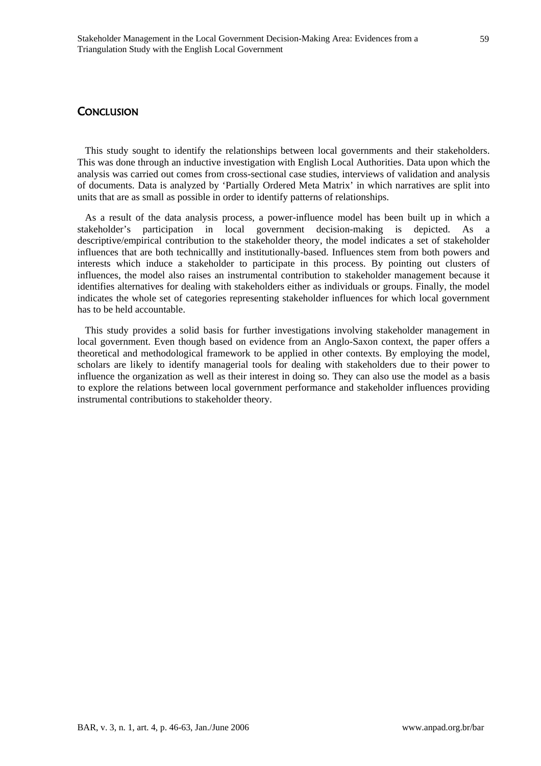# **CONCLUSION**

This study sought to identify the relationships between local governments and their stakeholders. This was done through an inductive investigation with English Local Authorities. Data upon which the analysis was carried out comes from cross-sectional case studies, interviews of validation and analysis of documents. Data is analyzed by 'Partially Ordered Meta Matrix' in which narratives are split into units that are as small as possible in order to identify patterns of relationships.

As a result of the data analysis process, a power-influence model has been built up in which a stakeholder's participation in local government decision-making is depicted. As a descriptive/empirical contribution to the stakeholder theory, the model indicates a set of stakeholder influences that are both technicallly and institutionally-based. Influences stem from both powers and interests which induce a stakeholder to participate in this process. By pointing out clusters of influences, the model also raises an instrumental contribution to stakeholder management because it identifies alternatives for dealing with stakeholders either as individuals or groups. Finally, the model indicates the whole set of categories representing stakeholder influences for which local government has to be held accountable.

This study provides a solid basis for further investigations involving stakeholder management in local government. Even though based on evidence from an Anglo-Saxon context, the paper offers a theoretical and methodological framework to be applied in other contexts. By employing the model, scholars are likely to identify managerial tools for dealing with stakeholders due to their power to influence the organization as well as their interest in doing so. They can also use the model as a basis to explore the relations between local government performance and stakeholder influences providing instrumental contributions to stakeholder theory.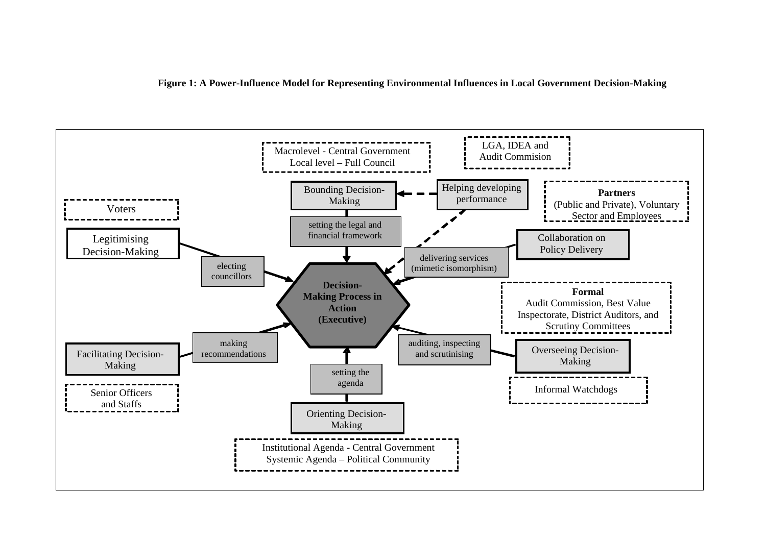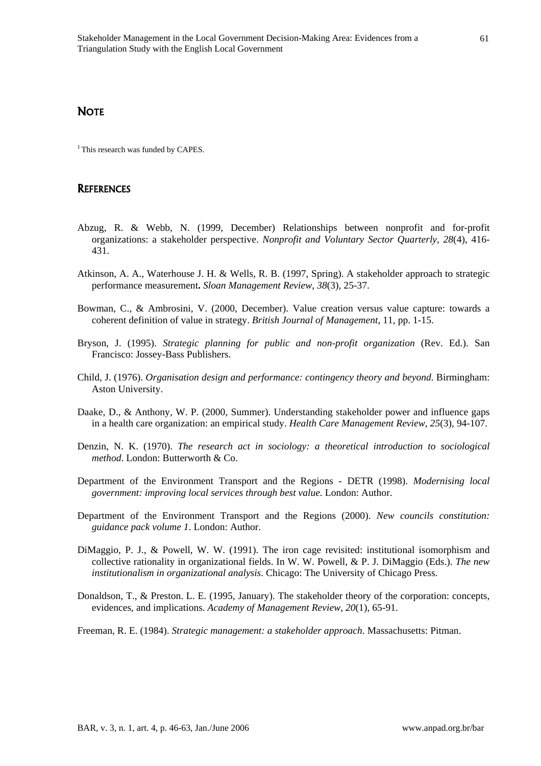## **NOTE**

<sup>1</sup> This research was funded by CAPES.

#### **REFERENCES**

- Abzug, R. & Webb, N. (1999, December) Relationships between nonprofit and for-profit organizations: a stakeholder perspective. *Nonprofit and Voluntary Sector Quarterly, 28*(4), 416- 431.
- Atkinson, A. A., Waterhouse J. H. & Wells, R. B. (1997, Spring). A stakeholder approach to strategic performance measurement**.** *Sloan Management Review, 38*(3), 25-37.
- Bowman, C., & Ambrosini, V. (2000, December). Value creation versus value capture: towards a coherent definition of value in strategy. *British Journal of Management*, 11, pp. 1-15.
- Bryson, J. (1995). *Strategic planning for public and non-profit organization* (Rev. Ed.). San Francisco: Jossey-Bass Publishers.
- Child, J. (1976). *Organisation design and performance: contingency theory and beyond.* Birmingham: Aston University.
- Daake, D., & Anthony, W. P. (2000, Summer). Understanding stakeholder power and influence gaps in a health care organization: an empirical study. *Health Care Management Review, 25*(3), 94-107.
- Denzin, N. K. (1970). *The research act in sociology: a theoretical introduction to sociological method*. London: Butterworth & Co.
- Department of the Environment Transport and the Regions DETR (1998). *Modernising local government: improving local services through best value.* London: Author.
- Department of the Environment Transport and the Regions (2000). *New councils constitution: guidance pack volume 1*. London: Author.
- DiMaggio, P. J., & Powell, W. W. (1991). The iron cage revisited: institutional isomorphism and collective rationality in organizational fields. In W. W. Powell, & P. J. DiMaggio (Eds.). *The new institutionalism in organizational analysis*. Chicago: The University of Chicago Press.
- Donaldson, T., & Preston. L. E. (1995, January). The stakeholder theory of the corporation: concepts, evidences, and implications. *Academy of Management Review, 20*(1), 65-91.

Freeman, R. E. (1984). *Strategic management: a stakeholder approach*. Massachusetts: Pitman.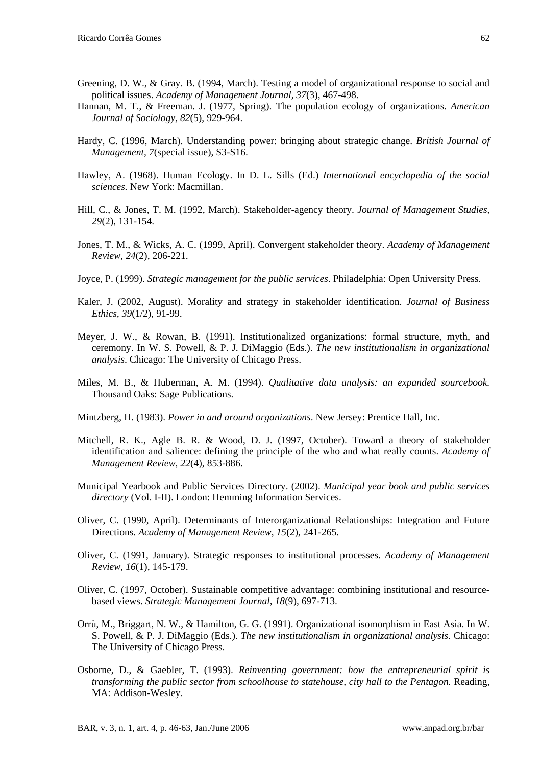- Greening, D. W., & Gray. B. (1994, March). Testing a model of organizational response to social and political issues. *Academy of Management Journal, 37*(3), 467-498.
- Hannan, M. T., & Freeman. J. (1977, Spring). The population ecology of organizations. *American Journal of Sociology, 82*(5), 929-964.
- Hardy, C. (1996, March). Understanding power: bringing about strategic change. *British Journal of Management, 7*(special issue), S3-S16.
- Hawley, A. (1968). Human Ecology. In D. L. Sills (Ed.) *International encyclopedia of the social sciences.* New York: Macmillan.
- Hill, C., & Jones, T. M. (1992, March). Stakeholder-agency theory. *Journal of Management Studies, 29*(2), 131-154.
- Jones, T. M., & Wicks, A. C. (1999, April). Convergent stakeholder theory. *Academy of Management Review, 24*(2), 206-221.
- Joyce, P. (1999). *Strategic management for the public services*. Philadelphia: Open University Press.
- Kaler, J. (2002, August). Morality and strategy in stakeholder identification. *Journal of Business Ethics, 39*(1/2), 91-99.
- Meyer, J. W., & Rowan, B. (1991). Institutionalized organizations: formal structure, myth, and ceremony. In W. S. Powell, & P. J. DiMaggio (Eds.). *The new institutionalism in organizational analysis*. Chicago: The University of Chicago Press.
- Miles, M. B., & Huberman, A. M. (1994). *Qualitative data analysis: an expanded sourcebook.* Thousand Oaks: Sage Publications.
- Mintzberg, H. (1983). *Power in and around organizations*. New Jersey: Prentice Hall, Inc.
- Mitchell, R. K., Agle B. R. & Wood, D. J. (1997, October). Toward a theory of stakeholder identification and salience: defining the principle of the who and what really counts. *Academy of Management Review, 22*(4), 853-886.
- Municipal Yearbook and Public Services Directory. (2002). *Municipal year book and public services directory* (Vol. I-II). London: Hemming Information Services.
- Oliver, C. (1990, April). Determinants of Interorganizational Relationships: Integration and Future Directions. *Academy of Management Review*, *15*(2), 241-265.
- Oliver, C. (1991, January). Strategic responses to institutional processes. *Academy of Management Review, 16*(1), 145-179.
- Oliver, C. (1997, October). Sustainable competitive advantage: combining institutional and resourcebased views. *Strategic Management Journal, 18*(9), 697-713.
- Orrù, M., Briggart, N. W., & Hamilton, G. G. (1991). Organizational isomorphism in East Asia. In W. S. Powell, & P. J. DiMaggio (Eds.). *The new institutionalism in organizational analysis*. Chicago: The University of Chicago Press.
- Osborne, D., & Gaebler, T. (1993). *Reinventing government: how the entrepreneurial spirit is transforming the public sector from schoolhouse to statehouse, city hall to the Pentagon.* Reading, MA: Addison-Wesley.